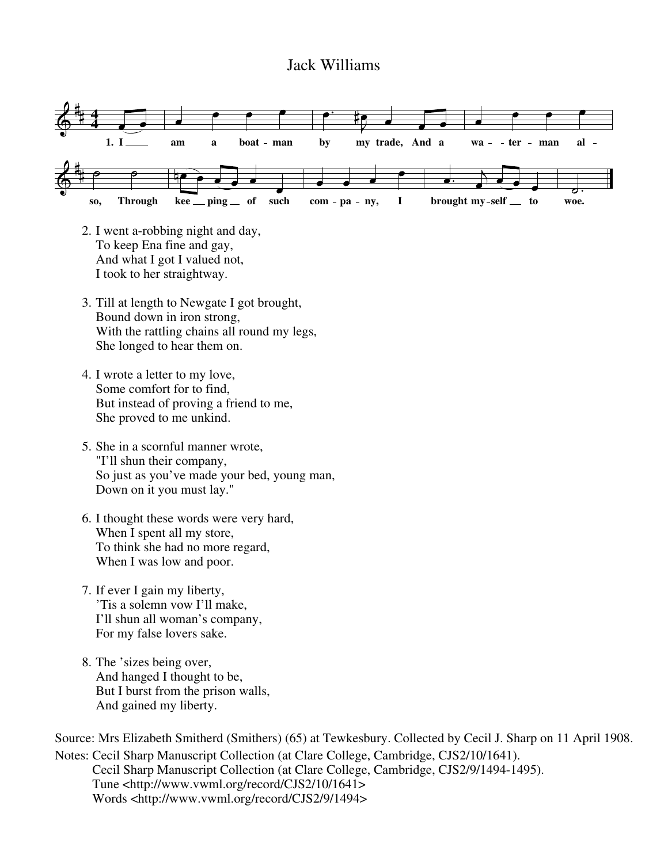## Jack Williams



- 2. I went a-robbing night and day, To keep Ena fine and gay, And what I got I valued not, I took to her straightway.
- 3. Till at length to Newgate I got brought, Bound down in iron strong, With the rattling chains all round my legs, She longed to hear them on.
- 4. I wrote a letter to my love, Some comfort for to find, But instead of proving a friend to me, She proved to me unkind.
- 5. She in a scornful manner wrote, "I'll shun their company, So just as you've made your bed, young man, Down on it you must lay."
- 6. I thought these words were very hard, When I spent all my store, To think she had no more regard, When I was low and poor.
- 7. If ever I gain my liberty, 'Tis a solemn vow I'll make, I'll shun all woman's company, For my false lovers sake.
- 8. The 'sizes being over, And hanged I thought to be, But I burst from the prison walls, And gained my liberty.

Source: Mrs Elizabeth Smitherd (Smithers) (65) at Tewkesbury. Collected by Cecil J. Sharp on 11 April 1908. Notes: Cecil Sharp Manuscript Collection (at Clare College, Cambridge, CJS2/10/1641). Cecil Sharp Manuscript Collection (at Clare College, Cambridge, CJS2/9/1494-1495). Tune <http://www.vwml.org/record/CJS2/10/1641> Words <http://www.vwml.org/record/CJS2/9/1494>